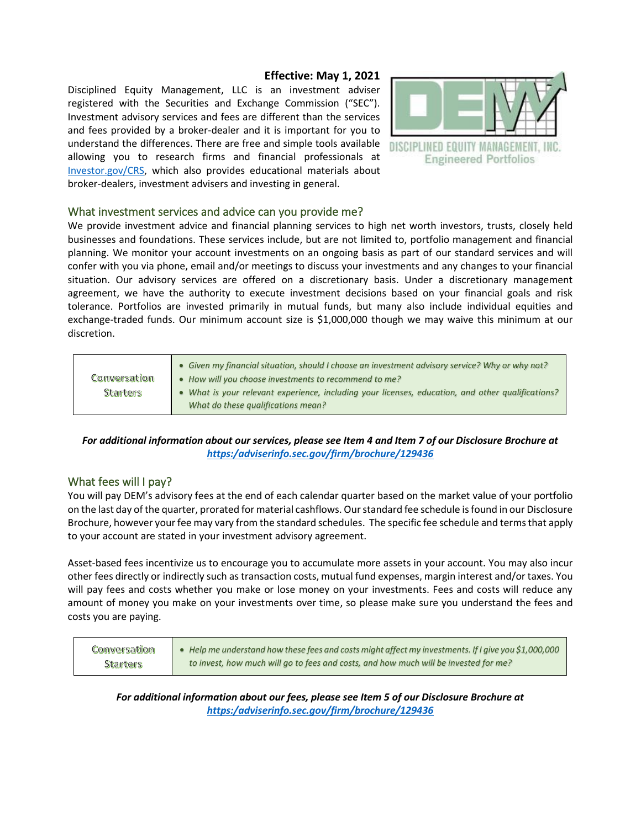## **Effective: May 1, 2021**

Disciplined Equity Management, LLC is an investment adviser registered with the Securities and Exchange Commission ("SEC"). Investment advisory services and fees are different than the services and fees provided by a broker-dealer and it is important for you to understand the differences. There are free and simple tools available allowing you to research firms and financial professionals at [Investor.gov/CRS,](http://www.investor.gov/CRS) which also provides educational materials about broker-dealers, investment advisers and investing in general.



### What investment services and advice can you provide me?

We provide investment advice and financial planning services to high net worth investors, trusts, closely held businesses and foundations. These services include, but are not limited to, portfolio management and financial planning. We monitor your account investments on an ongoing basis as part of our standard services and will confer with you via phone, email and/or meetings to discuss your investments and any changes to your financial situation. Our advisory services are offered on a discretionary basis. Under a discretionary management agreement, we have the authority to execute investment decisions based on your financial goals and risk tolerance. Portfolios are invested primarily in mutual funds, but many also include individual equities and exchange-traded funds. Our minimum account size is \$1,000,000 though we may waive this minimum at our discretion.

## *For additional information about our services, please see Item 4 and Item 7 of our Disclosure Brochure at [https:/adviserinfo.sec.gov/firm/brochure/129436](https://adviserinfo.sec.gov/firm/brochure/129436)*

#### What fees will I pay?

You will pay DEM's advisory fees at the end of each calendar quarter based on the market value of your portfolio on the last day of the quarter, prorated for material cashflows. Our standard fee schedule is found in our Disclosure Brochure, however your fee may vary from the standard schedules. The specific fee schedule and terms that apply to your account are stated in your investment advisory agreement.

Asset-based fees incentivize us to encourage you to accumulate more assets in your account. You may also incur other fees directly or indirectly such as transaction costs, mutual fund expenses, margin interest and/or taxes. You will pay fees and costs whether you make or lose money on your investments. Fees and costs will reduce any amount of money you make on your investments over time, so please make sure you understand the fees and costs you are paying.

| Conversation | • Help me understand how these fees and costs might affect my investments. If I give you \$1,000,000 |
|--------------|------------------------------------------------------------------------------------------------------|
| Starters     | to invest, how much will go to fees and costs, and how much will be invested for me?                 |

*For additional information about our fees, please see Item 5 of our Disclosure Brochure at [https:/adviserinfo.sec.gov/firm/brochure/129436](https://adviserinfo.sec.gov/firm/brochure/129436)*